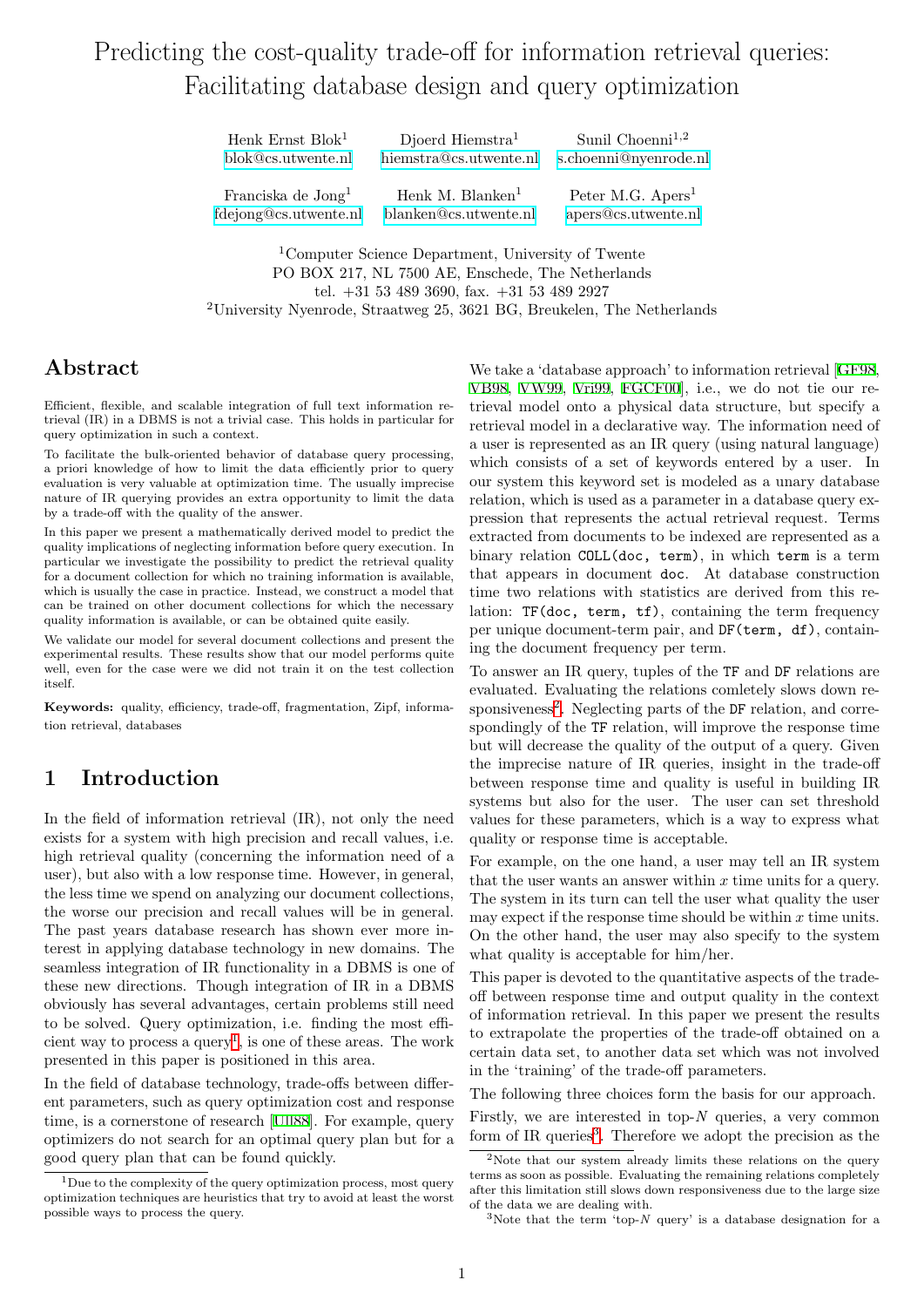# Predicting the cost-quality trade-off for information retrieval queries: Facilitating database design and query optimization

Henk Ernst Blok<sup>1</sup> Djoerd Hiemstra<sup>1</sup> Sunil Choenni<sup>1,2</sup> [blok@cs.utwente.nl](mailto:blok@cs.utwente.nl) [hiemstra@cs.utwente.nl](mailto:hiemstra@cs.utwente.nl) [s.choenni@nyenrode.nl](mailto:s.choenni@nyenrode.nl) Franciska de Jong<sup>1</sup> Henk M. Blanken<sup>1</sup> Peter M.G. Apers<sup>1</sup> [fdejong@cs.utwente.nl](mailto:fdejong@cs.utwente.nl) [blanken@cs.utwente.nl](mailto:blanken@cs.utwente.nl) [apers@cs.utwente.nl](mailto:apers@cs.utwente.nl)

<sup>1</sup>Computer Science Department, University of Twente PO BOX 217, NL 7500 AE, Enschede, The Netherlands tel. +31 53 489 3690, fax. +31 53 489 2927 <sup>2</sup>University Nyenrode, Straatweg 25, 3621 BG, Breukelen, The Netherlands

## Abstract

Efficient, flexible, and scalable integration of full text information retrieval (IR) in a DBMS is not a trivial case. This holds in particular for query optimization in such a context.

To facilitate the bulk-oriented behavior of database query processing, a priori knowledge of how to limit the data efficiently prior to query evaluation is very valuable at optimization time. The usually imprecise nature of IR querying provides an extra opportunity to limit the data by a trade-off with the quality of the answer.

In this paper we present a mathematically derived model to predict the quality implications of neglecting information before query execution. In particular we investigate the possibility to predict the retrieval quality for a document collection for which no training information is available, which is usually the case in practice. Instead, we construct a model that can be trained on other document collections for which the necessary quality information is available, or can be obtained quite easily.

We validate our model for several document collections and present the experimental results. These results show that our model performs quite well, even for the case were we did not train it on the test collection itself.

Keywords: quality, efficiency, trade-off, fragmentation, Zipf, information retrieval, databases

# 1 Introduction

In the field of information retrieval  $(IR)$ , not only the need exists for a system with high precision and recall values, i.e. high retrieval quality (concerning the information need of a user), but also with a low response time. However, in general, the less time we spend on analyzing our document collections, the worse our precision and recall values will be in general. The past years database research has shown ever more interest in applying database technology in new domains. The seamless integration of IR functionality in a DBMS is one of these new directions. Though integration of IR in a DBMS obviously has several advantages, certain problems still need to be solved. Query optimization, i.e. finding the most efficient way to process a  $query<sup>1</sup>$  $query<sup>1</sup>$  $query<sup>1</sup>$ , is one of these areas. The work presented in this paper is positioned in this area.

In the field of database technology, trade-offs between different parameters, such as query optimization cost and response time, is a cornerstone of research [\[Ull88](#page-9-0)]. For example, query optimizers do not search for an optimal query plan but for a good query plan that can be found quickly.

We take a 'database approach' to information retrieval[[GF98](#page-8-0), [VB98](#page-9-1), [VW99](#page-9-2), [Vri99](#page-9-3), [FGCF00](#page-8-1)], i.e., we do not tie our retrieval model onto a physical data structure, but specify a retrieval model in a declarative way. The information need of a user is represented as an IR query (using natural language) which consists of a set of keywords entered by a user. In our system this keyword set is modeled as a unary database relation, which is used as a parameter in a database query expression that represents the actual retrieval request. Terms extracted from documents to be indexed are represented as a binary relation COLL(doc, term), in which term is a term that appears in document doc. At database construction time two relations with statistics are derived from this relation: TF(doc, term, tf), containing the term frequency per unique document-term pair, and DF(term, df), containing the document frequency per term.

To answer an IR query, tuples of the TF and DF relations are evaluated. Evaluating the relations comletely slows down re-sponsiveness<sup>[2](#page-0-1)</sup>. Neglecting parts of the DF relation, and correspondingly of the TF relation, will improve the response time but will decrease the quality of the output of a query. Given the imprecise nature of IR queries, insight in the trade-off between response time and quality is useful in building IR systems but also for the user. The user can set threshold values for these parameters, which is a way to express what quality or response time is acceptable.

For example, on the one hand, a user may tell an IR system that the user wants an answer within  $x$  time units for a query. The system in its turn can tell the user what quality the user may expect if the response time should be within  $x$  time units. On the other hand, the user may also specify to the system what quality is acceptable for him/her.

This paper is devoted to the quantitative aspects of the tradeoff between response time and output quality in the context of information retrieval. In this paper we present the results to extrapolate the properties of the trade-off obtained on a certain data set, to another data set which was not involved in the 'training' of the trade-off parameters.

The following three choices form the basis for our approach.

Firstly, we are interested in top- $N$  queries, a very common form of IR queries<sup>[3](#page-0-2)</sup>. Therefore we adopt the precision as the

<span id="page-0-0"></span> $1$ Due to the complexity of the query optimization process, most query optimization techniques are heuristics that try to avoid at least the worst possible ways to process the query.

<span id="page-0-1"></span><sup>&</sup>lt;sup>2</sup>Note that our system already limits these relations on the query terms as soon as possible. Evaluating the remaining relations completely after this limitation still slows down responsiveness due to the large size of the data we are dealing with.

<span id="page-0-2"></span><sup>&</sup>lt;sup>3</sup>Note that the term 'top-N query' is a database designation for a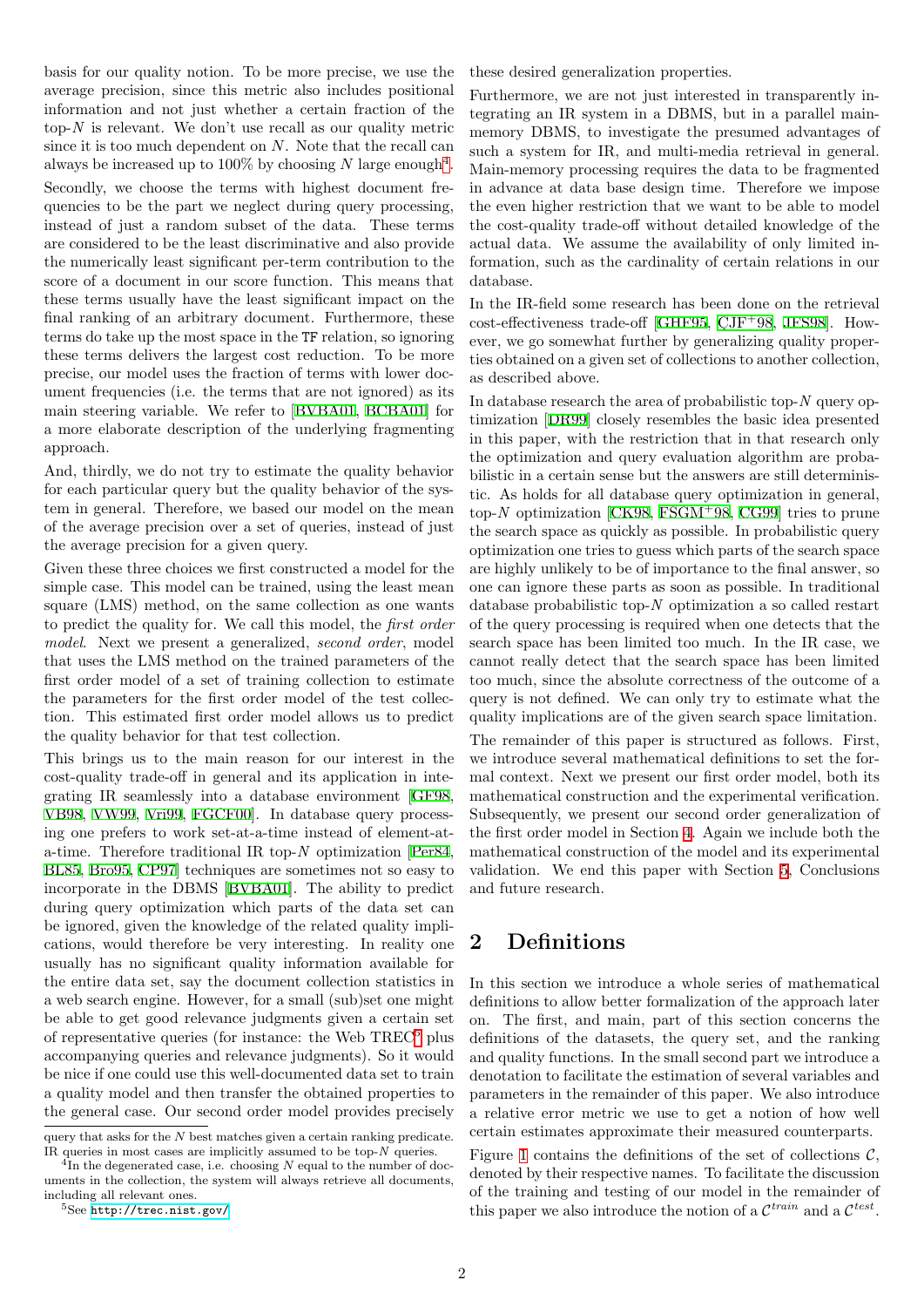basis for our quality notion. To be more precise, we use the average precision, since this metric also includes positional information and not just whether a certain fraction of the top- $N$  is relevant. We don't use recall as our quality metric since it is too much dependent on  $N$ . Note that the recall can always be increased up to 100% by choosing N large enough<sup>[4](#page-1-0)</sup>. Secondly, we choose the terms with highest document frequencies to be the part we neglect during query processing, instead of just a random subset of the data. These terms are considered to be the least discriminative and also provide the numerically least significant per-term contribution to the score of a document in our score function. This means that these terms usually have the least significant impact on the final ranking of an arbitrary document. Furthermore, these terms do take up the most space in the TF relation, so ignoring these terms delivers the largest cost reduction. To be more precise, our model uses the fraction of terms with lower document frequencies (i.e. the terms that are not ignored) as its main steering variable. We refer to[[BVBA01](#page-8-2), [BCBA01](#page-8-3)] for a more elaborate description of the underlying fragmenting approach.

And, thirdly, we do not try to estimate the quality behavior for each particular query but the quality behavior of the system in general. Therefore, we based our model on the mean of the average precision over a set of queries, instead of just the average precision for a given query.

Given these three choices we first constructed a model for the simple case. This model can be trained, using the least mean square (LMS) method, on the same collection as one wants to predict the quality for. We call this model, the first order model. Next we present a generalized, second order, model that uses the LMS method on the trained parameters of the first order model of a set of training collection to estimate the parameters for the first order model of the test collection. This estimated first order model allows us to predict the quality behavior for that test collection.

This brings us to the main reason for our interest in the cost-quality trade-off in general and its application in integrating IR seamlessly into a database environment[[GF98,](#page-8-0) [VB98,](#page-9-1) [VW99](#page-9-2), [Vri99](#page-9-3), [FGCF00\]](#page-8-1). In database query processing one prefers to work set-at-a-time instead of element-ata-time. Therefore traditional IR top-N optimization [\[Per84,](#page-9-4) [BL85,](#page-8-4) [Bro95](#page-8-5), [CP97](#page-8-6)] techniques are sometimes not so easy to incorporate in the DBMS [\[BVBA01](#page-8-2)]. The ability to predict during query optimization which parts of the data set can be ignored, given the knowledge of the related quality implications, would therefore be very interesting. In reality one usually has no significant quality information available for the entire data set, say the document collection statistics in a web search engine. However, for a small (sub)set one might be able to get good relevance judgments given a certain set of representative queries (for instance: the Web TREC<sup>[5](#page-1-1)</sup> plus accompanying queries and relevance judgments). So it would be nice if one could use this well-documented data set to train a quality model and then transfer the obtained properties to the general case. Our second order model provides precisely

these desired generalization properties.

Furthermore, we are not just interested in transparently integrating an IR system in a DBMS, but in a parallel mainmemory DBMS, to investigate the presumed advantages of such a system for IR, and multi-media retrieval in general. Main-memory processing requires the data to be fragmented in advance at data base design time. Therefore we impose the even higher restriction that we want to be able to model the cost-quality trade-off without detailed knowledge of the actual data. We assume the availability of only limited information, such as the cardinality of certain relations in our database.

In the IR-field some research has been done on the retrieval  $cost\text{-}effectiveness\ trade\text{-}off\text{ }[\text{GHF95},\text{ }\\\text{CJF}^{+}98,\text{ }]\text{JFS98}.$  $cost\text{-}effectiveness\ trade\text{-}off\text{ }[\text{GHF95},\text{ }\\\text{CJF}^{+}98,\text{ }]\text{JFS98}.$  $cost\text{-}effectiveness\ trade\text{-}off\text{ }[\text{GHF95},\text{ }\\\text{CJF}^{+}98,\text{ }]\text{JFS98}.$  However, we go somewhat further by generalizing quality properties obtained on a given set of collections to another collection, as described above.

In database research the area of probabilistic top-N query optimization [\[DR99](#page-8-8)] closely resembles the basic idea presented in this paper, with the restriction that in that research only the optimization and query evaluation algorithm are probabilistic in a certain sense but the answers are still deterministic. As holds for all database query optimization in general, top-Noptimization  $[CK98, FSGM+98, CG99]$  $[CK98, FSGM+98, CG99]$  $[CK98, FSGM+98, CG99]$  $[CK98, FSGM+98, CG99]$  $[CK98, FSGM+98, CG99]$  $[CK98, FSGM+98, CG99]$  tries to prune the search space as quickly as possible. In probabilistic query optimization one tries to guess which parts of the search space are highly unlikely to be of importance to the final answer, so one can ignore these parts as soon as possible. In traditional database probabilistic top-N optimization a so called restart of the query processing is required when one detects that the search space has been limited too much. In the IR case, we cannot really detect that the search space has been limited too much, since the absolute correctness of the outcome of a query is not defined. We can only try to estimate what the quality implications are of the given search space limitation.

The remainder of this paper is structured as follows. First, we introduce several mathematical definitions to set the formal context. Next we present our first order model, both its mathematical construction and the experimental verification. Subsequently, we present our second order generalization of the first order model in Section [4.](#page-6-0) Again we include both the mathematical construction of the model and its experimental validation. We end this paper with Section [5,](#page-7-0) Conclusions and future research.

## <span id="page-1-2"></span>2 Definitions

In this section we introduce a whole series of mathematical definitions to allow better formalization of the approach later on. The first, and main, part of this section concerns the definitions of the datasets, the query set, and the ranking and quality functions. In the small second part we introduce a denotation to facilitate the estimation of several variables and parameters in the remainder of this paper. We also introduce a relative error metric we use to get a notion of how well certain estimates approximate their measured counterparts.

Figure [1](#page-2-0) contains the definitions of the set of collections  $\mathcal{C}$ , denoted by their respective names. To facilitate the discussion of the training and testing of our model in the remainder of this paper we also introduce the notion of a  $\mathcal{C}^{train}$  and a  $\mathcal{C}^{test}$ .

query that asks for the N best matches given a certain ranking predicate. IR queries in most cases are implicitly assumed to be top- $N$  queries.

<span id="page-1-0"></span> ${}^{4}$ In the degenerated case, i.e. choosing N equal to the number of documents in the collection, the system will always retrieve all documents, including all relevant ones.

<span id="page-1-1"></span><sup>5</sup>See <http://trec.nist.gov/>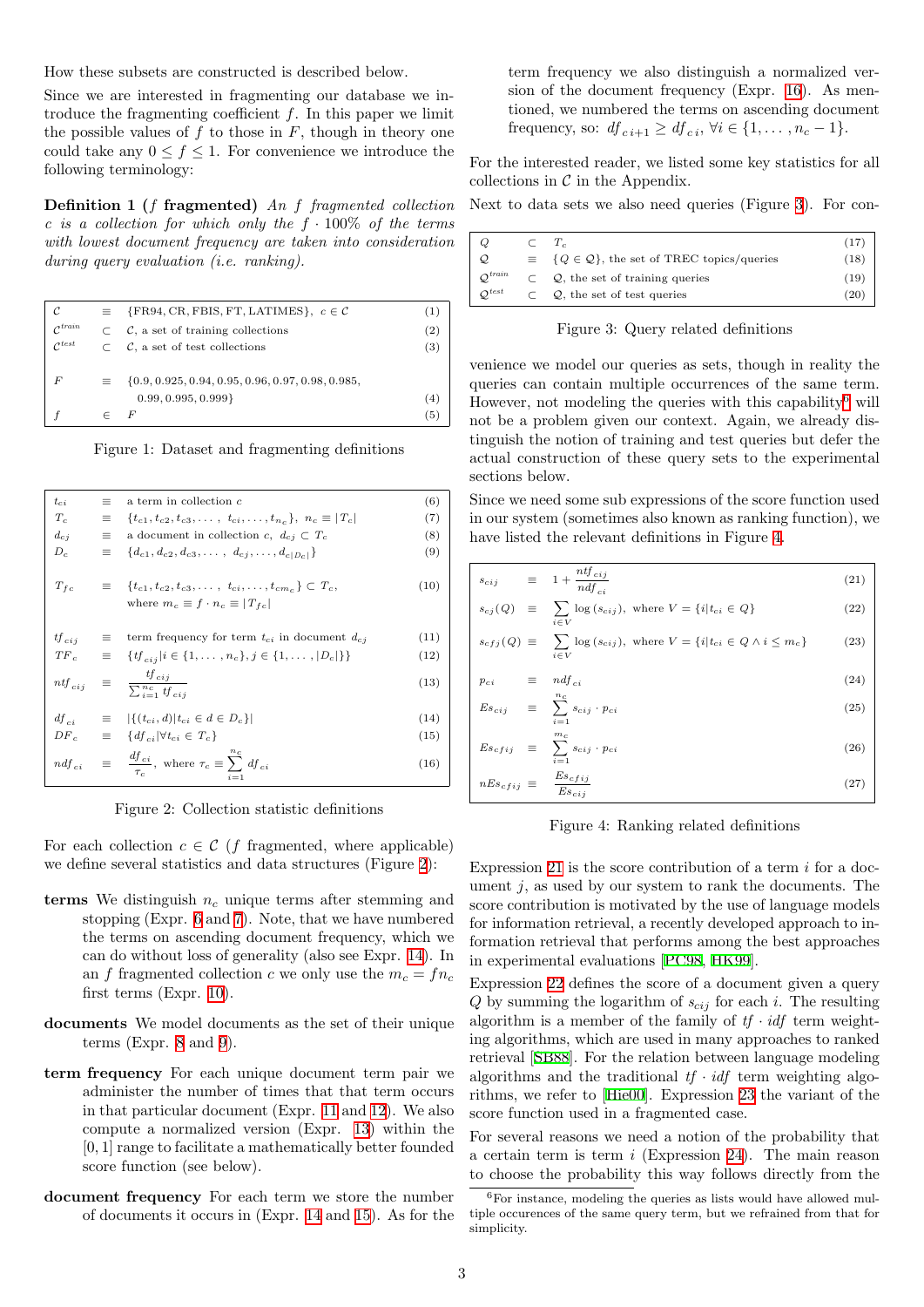How these subsets are constructed is described below.

Since we are interested in fragmenting our database we introduce the fragmenting coefficient  $f$ . In this paper we limit the possible values of  $f$  to those in  $F$ , though in theory one could take any  $0 \le f \le 1$ . For convenience we introduce the following terminology:

Definition 1 (f fragmented) An f fragmented collection c is a collection for which only the  $f \cdot 100\%$  of the terms with lowest document frequency are taken into consideration during query evaluation *(i.e. ranking)*.

| C                     | $\equiv$ | $\{FR94, CR, FBIS, FT, LATIMES\}, c \in \mathcal{C}$        | ( 1 ) |
|-----------------------|----------|-------------------------------------------------------------|-------|
| $\mathcal{C}^{train}$ |          | $\subset$ $\mathcal{C}$ , a set of training collections     | (2)   |
| $\mathcal{C}^{test}$  |          | $\subset$ $\mathcal{C}$ , a set of test collections         | (3)   |
|                       |          |                                                             |       |
| F                     |          | $\equiv \{0.9, 0.925, 0.94, 0.95, 0.96, 0.97, 0.98, 0.985,$ |       |
|                       |          | 0.99, 0.995, 0.999                                          | l 4   |
|                       |          | F                                                           | (5)   |

<span id="page-2-0"></span>Figure 1: Dataset and fragmenting definitions

<span id="page-2-2"></span>

| $t_{ci}$          | $=$      | a term in collection $c$                                                                                                            | (6)  |
|-------------------|----------|-------------------------------------------------------------------------------------------------------------------------------------|------|
| $T_c$             | $\equiv$ | ${t_{c1}, t_{c2}, t_{c3}, \ldots, t_{ci}, \ldots, t_{n_c}}$ , $n_c \equiv  T_c $                                                    | (7)  |
| $d_{c,i}$         | $\equiv$ | a document in collection c, $d_{ci} \subset T_c$                                                                                    | (8)  |
| $D_c$             | $\equiv$ | $\{d_{c1}, d_{c2}, d_{c3}, \ldots, d_{ci}, \ldots, d_{c D_{c} }\}\$                                                                 | (9)  |
| $T_{fc}$          |          | $\equiv \{t_{c1}, t_{c2}, t_{c3}, \ldots, t_{ci}, \ldots, t_{cm} \} \subset T_c,$<br>where $m_c \equiv f \cdot n_c \equiv  T_{fc} $ | (10) |
| $t f_{cij}$       | $\equiv$ | term frequency for term $t_{ci}$ in document $d_{cj}$                                                                               | (11) |
|                   |          | $TF_c \equiv \{tf_{cij} i \in \{1,\ldots,n_c\}, j \in \{1,\ldots, D_c \}\}\$                                                        | (12) |
| $nt\!f_{\,c\,ij}$ |          | $\equiv \frac{tf_{cij}}{\sum_{i=1}^{n_c} tf_{cij}}$                                                                                 | (13) |
|                   |          | $df_{ci} \equiv  \{(t_{ci}, d) t_{ci} \in d \in D_c\} $                                                                             | (14) |
|                   |          | $DF_c \equiv \{df_{ci}   \forall t_{ci} \in T_c\}$                                                                                  | (15) |
|                   |          | $ndf_{ci} \equiv \frac{df_{ci}}{1}$ , where $\tau_c \equiv \sum_{i}^{nc} df_{ci}$                                                   | (16) |

<span id="page-2-1"></span>Figure 2: Collection statistic definitions

For each collection  $c \in \mathcal{C}$  (f fragmented, where applicable) we define several statistics and data structures (Figure [2](#page-2-1)):

- terms We distinguish  $n_c$  unique terms after stemming and stopping (Expr. [6](#page-2-2) and [7](#page-2-2)). Note, that we have numbered the terms on ascending document frequency, which we can do without loss of generality (also see Expr. [14\)](#page-2-2). In an f fragmented collection c we only use the  $m_c = f n_c$ first terms (Expr. [10](#page-2-2)).
- documents We model documents as the set of their unique terms (Expr. [8](#page-2-2) and [9](#page-2-2)).
- term frequency For each unique document term pair we administer the number of times that that term occurs in that particular document (Expr. [11](#page-2-2) and [12\)](#page-2-2). We also compute a normalized version (Expr. [13](#page-2-2)) within the [0, 1] range to facilitate a mathematically better founded score function (see below).
- document frequency For each term we store the number of documents it occurs in (Expr. [14](#page-2-2) and [15\)](#page-2-2). As for the

term frequency we also distinguish a normalized version of the document frequency (Expr. [16](#page-2-2)). As mentioned, we numbered the terms on ascending document frequency, so:  $df_{c,i+1} \geq df_{c,i}$ ,  $\forall i \in \{1, \ldots, n_c - 1\}.$ 

For the interested reader, we listed some key statistics for all collections in  $\mathcal C$  in the Appendix.

Next to data sets we also need queries (Figure [3\)](#page-2-3). For con-

| Q                     | $\subset T_c$                                                    | (17) |
|-----------------------|------------------------------------------------------------------|------|
| Q.                    | $\equiv \{Q \in \mathcal{Q}\}\$ , the set of TREC topics/queries | (18) |
| $\mathcal{O}^{train}$ | $Q$ , the set of training queries                                | (19) |
| $\mathcal{O}^{test}$  | $\mathcal{Q}$ , the set of test queries                          | (20  |

<span id="page-2-3"></span>Figure 3: Query related definitions

venience we model our queries as sets, though in reality the queries can contain multiple occurrences of the same term. However, not modeling the queries with this capability<sup>[6](#page-2-4)</sup> will not be a problem given our context. Again, we already distinguish the notion of training and test queries but defer the actual construction of these query sets to the experimental sections below.

Since we need some sub expressions of the score function used in our system (sometimes also known as ranking function), we have listed the relevant definitions in Figure [4](#page-2-5).

<span id="page-2-6"></span>

|          | $s_{cij}$ $\equiv$ $1 + \frac{ntf_{cij}}{ndf_{ci}}$                                                           | (21) |
|----------|---------------------------------------------------------------------------------------------------------------|------|
|          | $s_{cj}(Q) \equiv \sum \log(s_{cij}), \text{ where } V = \{i   t_{ci} \in Q\}$<br>$i \in V$                   | (22) |
|          | $s_{cfj}(Q) \equiv \sum \log(s_{cij}), \text{ where } V = \{i   t_{ci} \in Q \land i \leq m_c\}$<br>$i \in V$ | (23) |
| $p_{ci}$ | $\equiv$ $ndf_{ci}$                                                                                           | (24) |
|          | $n_c$<br>$Es_{cij} \equiv \sum s_{cij} \cdot p_{ci}$<br>$i=1$                                                 | (25) |

$$
Es_{cfij} \equiv \sum_{i=1}^{m_c} s_{cij} \cdot p_{ci}
$$
\n
$$
nEs_{cfij} \equiv \frac{Es_{cfij}}{Es_{cii}}
$$
\n
$$
(27)
$$

<span id="page-2-5"></span>Figure 4: Ranking related definitions

Expression [21](#page-2-6) is the score contribution of a term  $i$  for a document  $j$ , as used by our system to rank the documents. The score contribution is motivated by the use of language models for information retrieval, a recently developed approach to information retrieval that performs among the best approaches in experimental evaluations [\[PC98](#page-9-7), [HK99\]](#page-9-8).

Expression [22](#page-2-6) defines the score of a document given a query  $Q$  by summing the logarithm of  $s_{cij}$  for each i. The resulting algorithm is a member of the family of  $tf \cdot idf$  term weighting algorithms, which are used in many approaches to ranked retrieval [\[SB88\]](#page-9-9). For the relation between language modeling algorithms and the traditional  $tf \cdot idf$  term weighting algorithms, we refer to[[Hie00](#page-9-10)]. Expression [23](#page-2-6) the variant of the score function used in a fragmented case.

For several reasons we need a notion of the probability that a certain term is term i (Expression [24\)](#page-2-6). The main reason to choose the probability this way follows directly from the

<span id="page-2-4"></span> ${}^{6}$ For instance, modeling the queries as lists would have allowed multiple occurences of the same query term, but we refrained from that for simplicity.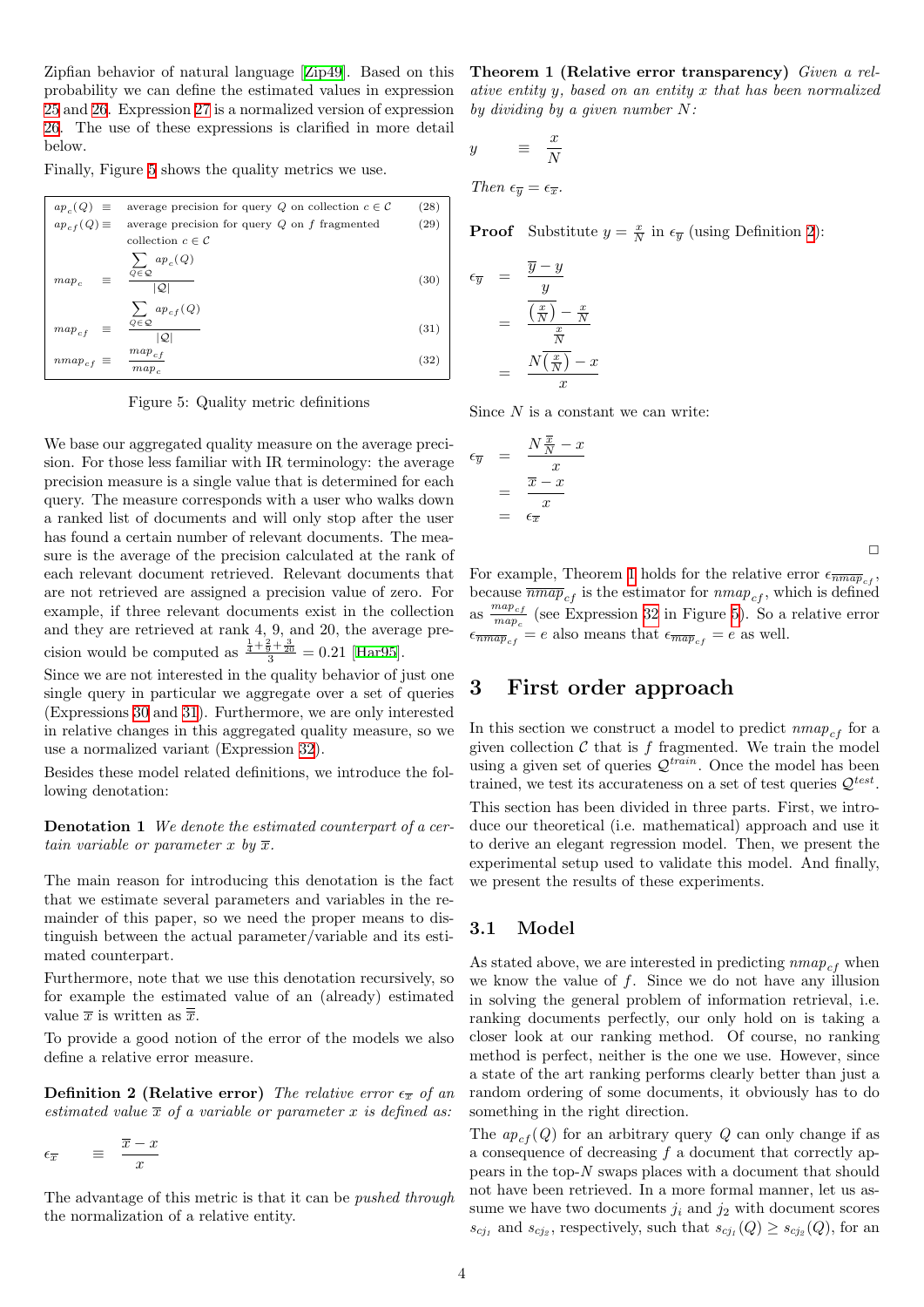Zipfian behavior of natural language [\[Zip49\]](#page-9-11). Based on this probability we can define the estimated values in expression [25](#page-2-6) and [26](#page-2-6). Expression [27](#page-2-6) is a normalized version of expression [26](#page-2-6). The use of these expressions is clarified in more detail below.

Finally, Figure [5](#page-3-0) shows the quality metrics we use.

<span id="page-3-1"></span>

| $ap_c(Q) \equiv$         | average precision for query Q on collection $c \in \mathcal{C}$     | (28) |
|--------------------------|---------------------------------------------------------------------|------|
| $ap_{cf}(Q) \equiv$      | average precision for query $Q$ on $f$ fragmented                   | (29) |
|                          | collection $c \in \mathcal{C}$                                      |      |
| $map_c$<br>$\equiv$      | $\sum$ ap <sub>c</sub> (Q)<br>$Q\!\in\!\mathcal{Q}$<br>$ {\cal Q} $ | (30) |
| $map_{cf}$<br>$\equiv$   | $\sum$ ap <sub>cf</sub> (Q)<br>$Q\!\in\!\mathcal{Q}$<br> Q          | (31) |
| $\boldsymbol{nmap}_{cf}$ | $map_{cf}$<br>$map_c$                                               | (32) |

<span id="page-3-0"></span>Figure 5: Quality metric definitions

We base our aggregated quality measure on the average precision. For those less familiar with IR terminology: the average precision measure is a single value that is determined for each query. The measure corresponds with a user who walks down a ranked list of documents and will only stop after the user has found a certain number of relevant documents. The measure is the average of the precision calculated at the rank of each relevant document retrieved. Relevant documents that are not retrieved are assigned a precision value of zero. For example, if three relevant documents exist in the collection and they are retrieved at rank 4, 9, and 20, the average precision would be computed as  $\frac{\frac{1}{4} + \frac{2}{9} + \frac{3}{20}}{3} = 0.21$  [\[Har95\]](#page-9-12).

Since we are not interested in the quality behavior of just one single query in particular we aggregate over a set of queries (Expressions [30](#page-3-1) and [31\)](#page-3-1). Furthermore, we are only interested in relative changes in this aggregated quality measure, so we use a normalized variant (Expression [32\)](#page-3-1).

Besides these model related definitions, we introduce the following denotation:

Denotation 1 We denote the estimated counterpart of a certain variable or parameter x by  $\overline{x}$ .

The main reason for introducing this denotation is the fact that we estimate several parameters and variables in the remainder of this paper, so we need the proper means to distinguish between the actual parameter/variable and its estimated counterpart.

Furthermore, note that we use this denotation recursively, so for example the estimated value of an (already) estimated value  $\overline{x}$  is written as  $\overline{\overline{x}}$ .

To provide a good notion of the error of the models we also define a relative error measure.

**Definition 2 (Relative error)** The relative error  $\epsilon_{\overline{x}}$  of an estimated value  $\bar{x}$  of a variable or parameter x is defined as:

$$
\epsilon_{\overline{x}} \qquad \equiv \quad \frac{\overline{x} - x}{x}
$$

The advantage of this metric is that it can be pushed through the normalization of a relative entity.

Theorem 1 (Relative error transparency) Given a relative entity y, based on an entity x that has been normalized by dividing by a given number  $N$ :

$$
y = \frac{x}{N}
$$
  
Then  $\epsilon_{\overline{y}} = \epsilon_{\overline{x}}$ .

**Proof** Substitute  $y = \frac{x}{N}$  in  $\epsilon_{\overline{y}}$  (using Definition [2\)](#page-3-2):

$$
\epsilon_{\overline{y}} = \frac{\overline{y} - y}{y}
$$

$$
= \frac{\overline{\left(\frac{x}{N}\right)} - \frac{x}{N}}{\frac{x}{N}}
$$

$$
= \frac{N\overline{\left(\frac{x}{N}\right)} - x}{x}
$$

Since  $N$  is a constant we can write:

 $\hat{x}$ 

$$
\epsilon_{\overline{y}} = \frac{N \frac{\overline{x}}{N} - x}{x}
$$

$$
= \frac{\overline{x} - x}{x}
$$

$$
= \epsilon_{\overline{x}}
$$

 $\Box$ 

For example, Theorem [1](#page-3-3) holds for the relative error  $\epsilon_{\overline{nmap}_{cf}}$ , because  $\overline{nmap}_{cf}$  is the estimator for  $nmap_{cf}$ , which is defined as  $\frac{map_{cf}}{man}$  $\frac{map_c}{map_c}$  (see Expression [32](#page-3-1) in Figure [5](#page-3-0)). So a relative error  $\epsilon_{\overline{m\overline{a}p}_{cf}} = e$  also means that  $\epsilon_{\overline{m\overline{a}p}_{cf}} = e$  as well.

## <span id="page-3-4"></span>3 First order approach

In this section we construct a model to predict  $nmap_{cf}$  for a given collection  $C$  that is  $f$  fragmented. We train the model using a given set of queries  $\mathcal{Q}^{train}$ . Once the model has been trained, we test its accurateness on a set of test queries  $\mathcal{Q}^{test}$ .

This section has been divided in three parts. First, we introduce our theoretical (i.e. mathematical) approach and use it to derive an elegant regression model. Then, we present the experimental setup used to validate this model. And finally, we present the results of these experiments.

#### 3.1 Model

As stated above, we are interested in predicting  $nmap_{cf}$  when we know the value of  $f$ . Since we do not have any illusion in solving the general problem of information retrieval, i.e. ranking documents perfectly, our only hold on is taking a closer look at our ranking method. Of course, no ranking method is perfect, neither is the one we use. However, since a state of the art ranking performs clearly better than just a random ordering of some documents, it obviously has to do something in the right direction.

<span id="page-3-3"></span><span id="page-3-2"></span>The  $ap_{cf}(Q)$  for an arbitrary query Q can only change if as a consequence of decreasing  $f$  a document that correctly appears in the top-N swaps places with a document that should not have been retrieved. In a more formal manner, let us assume we have two documents  $j_i$  and  $j_2$  with document scores  $s_{cj_1}$  and  $s_{cj_2}$ , respectively, such that  $s_{cj_1}(Q) \geq s_{cj_2}(Q)$ , for an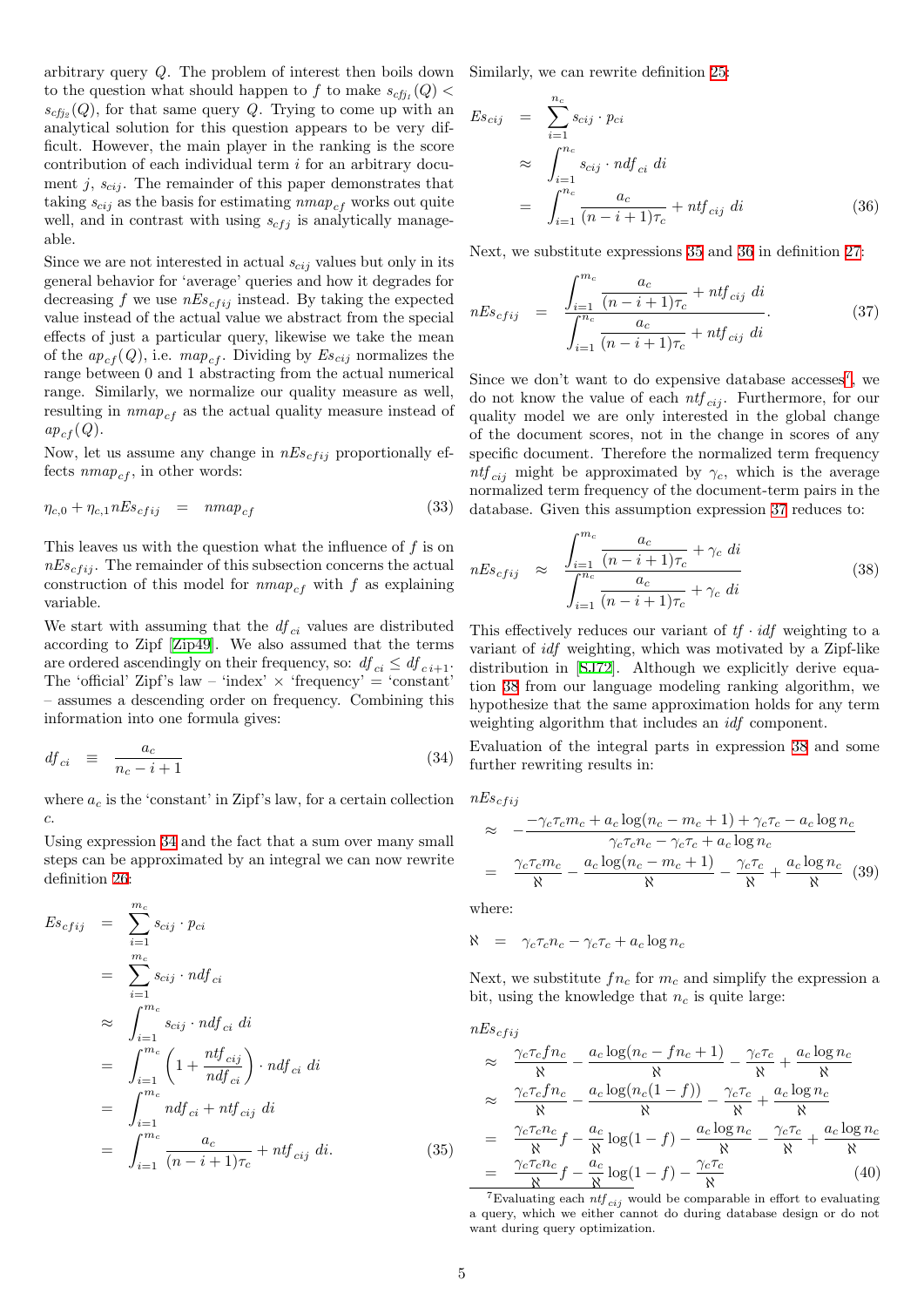arbitrary query Q. The problem of interest then boils down to the question what should happen to f to make  $s_{cfj_1}(Q)$  <  $s_{c f j_2}(Q)$ , for that same query Q. Trying to come up with an analytical solution for this question appears to be very difficult. However, the main player in the ranking is the score contribution of each individual term  $i$  for an arbitrary document j,  $s_{cij}$ . The remainder of this paper demonstrates that taking  $s_{cij}$  as the basis for estimating  $nmap_{cf}$  works out quite well, and in contrast with using  $s_{cfj}$  is analytically manageable.

Since we are not interested in actual  $s_{cij}$  values but only in its general behavior for 'average' queries and how it degrades for decreasing f we use  $nEs_{cfij}$  instead. By taking the expected value instead of the actual value we abstract from the special effects of just a particular query, likewise we take the mean of the  $ap_{cf}(Q)$ , i.e.  $map_{cf}$ . Dividing by  $Es_{cij}$  normalizes the range between 0 and 1 abstracting from the actual numerical range. Similarly, we normalize our quality measure as well, resulting in  $nmap_{cf}$  as the actual quality measure instead of  $ap_{cf}(Q)$ .

Now, let us assume any change in  $nEs_{c f i j}$  proportionally effects  $nmap_{cf}$ , in other words:

<span id="page-4-6"></span>
$$
\eta_{c,0} + \eta_{c,1} nEs_{cfij} = nmap_{cf} \tag{33}
$$

This leaves us with the question what the influence of  $f$  is on  $nEs_{cfij}$ . The remainder of this subsection concerns the actual construction of this model for  $nmap_{cf}$  with f as explaining variable.

We start with assuming that the  $df_{ci}$  values are distributed according to Zipf [\[Zip49\]](#page-9-11). We also assumed that the terms are ordered ascendingly on their frequency, so:  $df_{ci} \leq df_{ci+1}$ . The 'official' Zipf's law – 'index'  $\times$  'frequency' = 'constant' – assumes a descending order on frequency. Combining this information into one formula gives:

<span id="page-4-0"></span>
$$
df_{ci} \equiv \frac{a_c}{n_c - i + 1} \tag{34}
$$

where  $a_c$  is the 'constant' in Zipf's law, for a certain collection c.

Using expression [34](#page-4-0) and the fact that a sum over many small steps can be approximated by an integral we can now rewrite definition [26:](#page-2-6)

<span id="page-4-1"></span>
$$
Es_{cfij} = \sum_{i=1}^{m_c} s_{cij} \cdot p_{ci}
$$
  
= 
$$
\sum_{i=1}^{m_c} s_{cij} \cdot ndf_{ci}
$$
  

$$
\approx \int_{i=1}^{m_c} s_{cij} \cdot ndf_{ci} \, di
$$
  
= 
$$
\int_{i=1}^{m_c} \left(1 + \frac{ntf_{cij}}{ndf_{ci}}\right) \cdot ndf_{ci} \, di
$$
  
= 
$$
\int_{i=1}^{m_c} ndf_{ci} + ntf_{cij} \, di
$$
  
= 
$$
\int_{i=1}^{m_c} \frac{a_c}{(n-i+1)\tau_c} + ntf_{cij} \, di.
$$
 (35)

Similarly, we can rewrite definition [25:](#page-2-6)

<span id="page-4-2"></span>
$$
E s_{cij} = \sum_{i=1}^{n_c} s_{cij} \cdot p_{ci}
$$
  
\n
$$
\approx \int_{i=1}^{n_c} s_{cij} \cdot n df_{ci} \, di
$$
  
\n
$$
= \int_{i=1}^{n_c} \frac{a_c}{(n-i+1)\tau_c} + n t f_{cij} \, di
$$
 (36)

Next, we substitute expressions [35](#page-4-1) and [36](#page-4-2) in definition [27:](#page-2-6)

<span id="page-4-4"></span>
$$
nEs_{cfij} = \frac{\int_{i=1}^{m_c} \frac{a_c}{(n-i+1)\tau_c} + ntf_{cij} \, di}{\int_{i=1}^{n_c} \frac{a_c}{(n-i+1)\tau_c} + ntf_{cij} \, di}.
$$
 (37)

Since we don't want to do expensive database accesses<sup>[7](#page-4-3)</sup>, we do not know the value of each  $ntf_{cij}$ . Furthermore, for our quality model we are only interested in the global change of the document scores, not in the change in scores of any specific document. Therefore the normalized term frequency ntf<sub>cij</sub> might be approximated by  $\gamma_c$ , which is the average normalized term frequency of the document-term pairs in the database. Given this assumption expression [37](#page-4-4) reduces to:

<span id="page-4-5"></span>
$$
nEs_{cfij} \approx \frac{\int_{i=1}^{m_c} \frac{a_c}{(n-i+1)\tau_c} + \gamma_c di}{\int_{i=1}^{n_c} \frac{a_c}{(n-i+1)\tau_c} + \gamma_c di}
$$
(38)

This effectively reduces our variant of  $tf \cdot idf$  weighting to a variant of idf weighting, which was motivated by a Zipf-like distribution in[[SJ72](#page-9-13)]. Although we explicitly derive equation [38](#page-4-5) from our language modeling ranking algorithm, we hypothesize that the same approximation holds for any term weighting algorithm that includes an idf component.

Evaluation of the integral parts in expression [38](#page-4-5) and some further rewriting results in:

$$
nEs_{cfij}
$$

$$
\approx -\frac{-\gamma_c \tau_c m_c + a_c \log(n_c - m_c + 1) + \gamma_c \tau_c - a_c \log n_c}{\gamma_c \tau_c n_c - \gamma_c \tau_c + a_c \log n_c}
$$

$$
= \frac{\gamma_c \tau_c m_c}{\aleph} - \frac{a_c \log(n_c - m_c + 1)}{\aleph} - \frac{\gamma_c \tau_c}{\aleph} + \frac{a_c \log n_c}{\aleph} \quad (39)
$$

where:

$$
\aleph = \gamma_c \tau_c n_c - \gamma_c \tau_c + a_c \log n_c
$$

Next, we substitute  $fn_c$  for  $m_c$  and simplify the expression a bit, using the knowledge that  $n_c$  is quite large:

$$
nEs_{cfij}
$$
\n
$$
\approx \frac{\gamma_c \tau_c f n_c}{\aleph} - \frac{a_c \log(n_c - f n_c + 1)}{\aleph} - \frac{\gamma_c \tau_c}{\aleph} + \frac{a_c \log n_c}{\aleph}
$$
\n
$$
\approx \frac{\gamma_c \tau_c f n_c}{\aleph} - \frac{a_c \log(n_c(1 - f))}{\aleph} - \frac{\gamma_c \tau_c}{\aleph} + \frac{a_c \log n_c}{\aleph}
$$
\n
$$
= \frac{\gamma_c \tau_c n_c}{\aleph} f - \frac{a_c}{\aleph} \log(1 - f) - \frac{a_c \log n_c}{\aleph} - \frac{\gamma_c \tau_c}{\aleph} + \frac{a_c \log n_c}{\aleph}
$$
\n
$$
= \frac{\gamma_c \tau_c n_c}{\aleph} f - \frac{a_c}{\aleph} \log(1 - f) - \frac{\gamma_c \tau_c}{\aleph} \tag{40}
$$

<span id="page-4-3"></span><sup>7</sup>Evaluating each  $ntf_{cij}$  would be comparable in effort to evaluating a query, which we either cannot do during database design or do not want during query optimization.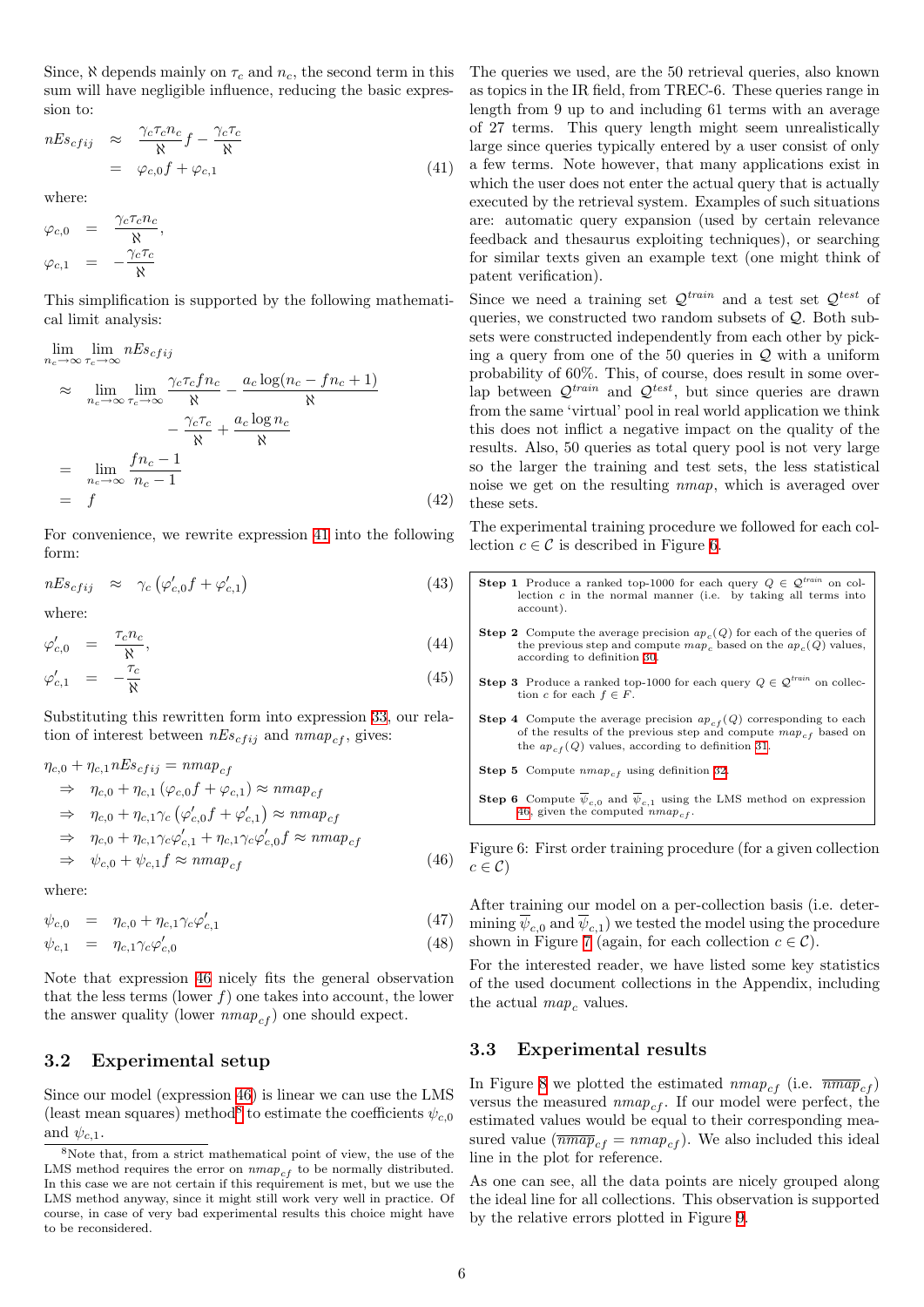Since,  $\aleph$  depends mainly on  $\tau_c$  and  $n_c$ , the second term in this sum will have negligible influence, reducing the basic expression to:

<span id="page-5-0"></span>
$$
nEs_{cfij} \approx \frac{\gamma_c \tau_c n_c}{\aleph} f - \frac{\gamma_c \tau_c}{\aleph} = \varphi_{c,0} f + \varphi_{c,1}
$$
 (41)

where:

$$
\varphi_{c,0} = \frac{\gamma_c \tau_c n_c}{\aleph},
$$
  

$$
\varphi_{c,1} = -\frac{\gamma_c \tau_c}{\aleph}
$$

This simplification is supported by the following mathematical limit analysis:

$$
\lim_{n_c \to \infty} \lim_{\tau_c \to \infty} nEs_{cfij}
$$
\n
$$
\approx \lim_{n_c \to \infty} \lim_{\tau_c \to \infty} \frac{\gamma_c \tau_c f n_c}{\aleph} - \frac{a_c \log(n_c - f n_c + 1)}{\aleph}
$$
\n
$$
- \frac{\gamma_c \tau_c}{\aleph} + \frac{a_c \log n_c}{\aleph}
$$
\n
$$
= \lim_{n_c \to \infty} \frac{f n_c - 1}{n_c - 1}
$$
\n
$$
= f
$$
\n(42)

For convenience, we rewrite expression [41](#page-5-0) into the following form:

$$
nEs_{cfij} \approx \gamma_c \left( \varphi'_{c,0} f + \varphi'_{c,1} \right) \tag{43}
$$

where:

$$
\varphi'_{c,0} = \frac{\tau_c n_c}{\aleph},\tag{44}
$$

<span id="page-5-5"></span>
$$
\varphi'_{c,1} = -\frac{\tau_c}{\aleph} \tag{45}
$$

Substituting this rewritten form into expression [33,](#page-4-6) our relation of interest between  $nEs_{cfij}$  and  $nmap_{cf}$ , gives:

<span id="page-5-1"></span>
$$
\eta_{c,0} + \eta_{c,1} nEs_{cfij} = nmap_{cf}
$$
\n
$$
\Rightarrow \eta_{c,0} + \eta_{c,1} (\varphi_{c,0} f + \varphi_{c,1}) \approx nmap_{cf}
$$
\n
$$
\Rightarrow \eta_{c,0} + \eta_{c,1} \gamma_c (\varphi'_{c,0} f + \varphi'_{c,1}) \approx nmap_{cf}
$$
\n
$$
\Rightarrow \eta_{c,0} + \eta_{c,1} \gamma_c \varphi'_{c,1} + \eta_{c,1} \gamma_c \varphi'_{c,0} f \approx nmap_{cf}
$$
\n
$$
\Rightarrow \psi_{c,0} + \psi_{c,1} f \approx nmap_{cf}
$$
\n(46)

where:

$$
\psi_{c,0} = \eta_{c,0} + \eta_{c,1} \gamma_c \varphi'_{c,1} \tag{47}
$$

<span id="page-5-4"></span>
$$
\psi_{c,1} = \eta_{c,1} \gamma_c \varphi'_{c,0} \tag{48}
$$

Note that expression [46](#page-5-1) nicely fits the general observation that the less terms (lower  $f$ ) one takes into account, the lower the answer quality (lower  $nmap_{cf}$ ) one should expect.

### <span id="page-5-6"></span>3.2 Experimental setup

Since our model (expression [46](#page-5-1)) is linear we can use the LMS (least mean squares) method<sup>[8](#page-5-2)</sup> to estimate the coefficients  $\psi_{c,0}$ and  $\psi_{c,1}$ .

The queries we used, are the 50 retrieval queries, also known as topics in the IR field, from TREC-6. These queries range in length from 9 up to and including 61 terms with an average of 27 terms. This query length might seem unrealistically large since queries typically entered by a user consist of only a few terms. Note however, that many applications exist in which the user does not enter the actual query that is actually executed by the retrieval system. Examples of such situations are: automatic query expansion (used by certain relevance feedback and thesaurus exploiting techniques), or searching for similar texts given an example text (one might think of patent verification).

Since we need a training set  $\mathcal{Q}^{train}$  and a test set  $\mathcal{Q}^{test}$  of queries, we constructed two random subsets of  $\mathcal{Q}$ . Both subsets were constructed independently from each other by picking a query from one of the 50 queries in  $Q$  with a uniform probability of 60%. This, of course, does result in some overlap between  $\mathcal{Q}^{train}$  and  $\mathcal{Q}^{test}$ , but since queries are drawn from the same 'virtual' pool in real world application we think this does not inflict a negative impact on the quality of the results. Also, 50 queries as total query pool is not very large so the larger the training and test sets, the less statistical noise we get on the resulting nmap, which is averaged over these sets.

The experimental training procedure we followed for each collection  $c \in \mathcal{C}$  is described in Figure [6](#page-5-3).

| <b>Step 1</b> Produce a ranked top-1000 for each query $Q \in \mathcal{Q}^{train}$ on col-<br>lection $c$ in the normal manner (i.e. by taking all terms into<br>account).                                    |
|---------------------------------------------------------------------------------------------------------------------------------------------------------------------------------------------------------------|
| <b>Step 2</b> Compute the average precision $ap_c(Q)$ for each of the queries of<br>the previous step and compute $map_c$ based on the $ap_c(Q)$ values,<br>according to definition 30.                       |
| <b>Step 3</b> Produce a ranked top-1000 for each query $Q \in \mathcal{Q}^{train}$ on collec-<br>tion c for each $f \in F$ .                                                                                  |
| <b>Step 4</b> Compute the average precision $ap_{cf}(Q)$ corresponding to each<br>of the results of the previous step and compute $map_{cf}$ based on<br>the $ap_{cf}(Q)$ values, according to definition 31. |
| <b>Step 5</b> Compute $nmap_{cf}$ using definition 32.                                                                                                                                                        |
| <b>Step 6</b> Compute $\overline{\psi}_{c,0}$ and $\overline{\psi}_{c,1}$ using the LMS method on expression<br>46, given the computed $nmap_{cf}$ .                                                          |

<span id="page-5-3"></span>Figure 6: First order training procedure (for a given collection  $c \in \mathcal{C}$ 

After training our model on a per-collection basis (i.e. determining  $\psi_{c,0}$  and  $\psi_{c,1}$ ) we tested the model using the procedure shown in Figure [7](#page-6-1) (again, for each collection  $c \in \mathcal{C}$ ).

For the interested reader, we have listed some key statistics of the used document collections in the Appendix, including the actual  $map_c$  values.

#### <span id="page-5-7"></span>3.3 Experimental results

In Figure [8](#page-6-2) we plotted the estimated  $nmap_{cf}$  (i.e.  $\overline{nmap}_{cf}$ ) versus the measured  $nmap_{cf}$ . If our model were perfect, the estimated values would be equal to their corresponding measured value  $(\overline{mmap}_{cf} = nmap_{cf})$ . We also included this ideal line in the plot for reference.

As one can see, all the data points are nicely grouped along the ideal line for all collections. This observation is supported by the relative errors plotted in Figure [9.](#page-6-3)

<span id="page-5-2"></span><sup>8</sup>Note that, from a strict mathematical point of view, the use of the LMS method requires the error on  $\mathit{nmap}_{cf}$  to be normally distributed. In this case we are not certain if this requirement is met, but we use the LMS method anyway, since it might still work very well in practice. Of course, in case of very bad experimental results this choice might have to be reconsidered.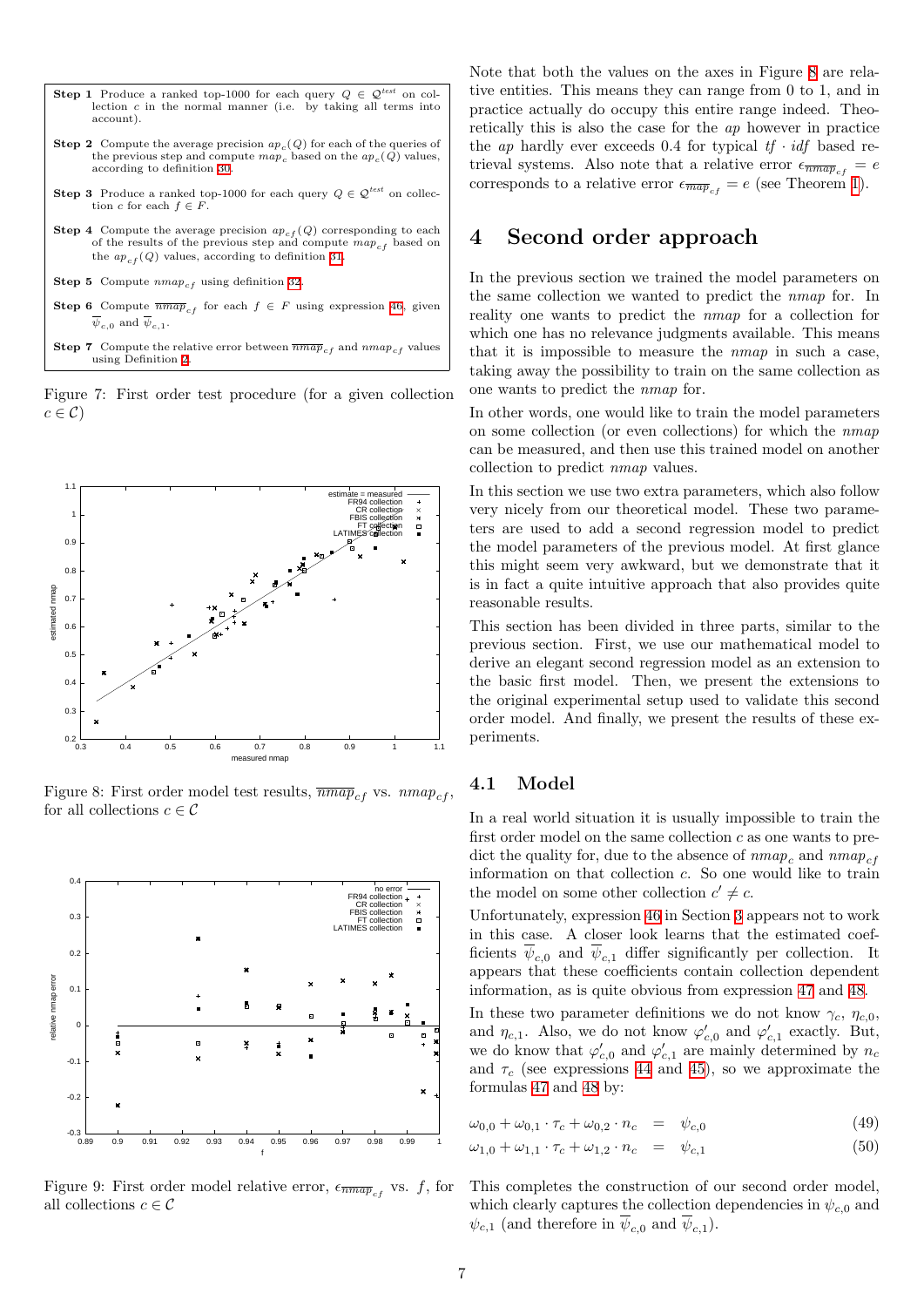- **Step 1** Produce a ranked top-1000 for each query  $Q \in \mathcal{Q}^{test}$  on collection c in the normal manner (i.e. by taking all terms into account).
- **Step 2** Compute the average precision  $ap_c(Q)$  for each of the queries of the previous step and compute  $map_c$  based on the  $ap_c(Q)$  values, according to definition [30](#page-3-1).
- **Step 3** Produce a ranked top-1000 for each query  $Q \in \mathcal{Q}^{test}$  on collection c for each  $f \in F$ .
- **Step 4** Compute the average precision  $ap_{cf}(Q)$  corresponding to each of the results of the previous step and compute  $map_{cf}$  based on the  $ap_{cf}(Q)$  values, according to definition [31.](#page-3-1)
- Step 5 Compute  $nmap_{cf}$  using definition [32.](#page-3-1)
- Step 6 Compute  $\overline{mmap}_{cf}$  for each  $f \in F$  using expression [46,](#page-5-1) given  $\psi_{c,0}$  and  $\psi_{c,1}$ .
- **Step 7** Compute the relative error between  $\overline{mmap}_{cf}$  and  $nmap_{cf}$  values using Definition [2](#page-3-2).

<span id="page-6-1"></span>Figure 7: First order test procedure (for a given collection  $c \in \mathcal{C}$ 



<span id="page-6-2"></span>Figure 8: First order model test results,  $\overline{nmap}_{cf}$  vs.  $nmap_{cf}$ , for all collections  $c \in \mathcal{C}$ 



<span id="page-6-3"></span>Figure 9: First order model relative error,  $\epsilon_{\overline{nmap}_{cf}}$  vs. f, for all collections  $c \in \mathcal{C}$ 

Note that both the values on the axes in Figure [8](#page-6-2) are relative entities. This means they can range from 0 to 1, and in practice actually do occupy this entire range indeed. Theoretically this is also the case for the ap however in practice the *ap* hardly ever exceeds 0.4 for typical  $tf \cdot idf$  based retrieval systems. Also note that a relative error  $\epsilon_{\overline{nmap}_{cf}} = e$ corresponds to a relative error  $\epsilon_{\overline{map}_{cf}} = e$  (see Theorem [1\)](#page-3-3).

## <span id="page-6-0"></span>4 Second order approach

In the previous section we trained the model parameters on the same collection we wanted to predict the nmap for. In reality one wants to predict the nmap for a collection for which one has no relevance judgments available. This means that it is impossible to measure the nmap in such a case, taking away the possibility to train on the same collection as one wants to predict the nmap for.

In other words, one would like to train the model parameters on some collection (or even collections) for which the nmap can be measured, and then use this trained model on another collection to predict nmap values.

In this section we use two extra parameters, which also follow very nicely from our theoretical model. These two parameters are used to add a second regression model to predict the model parameters of the previous model. At first glance this might seem very awkward, but we demonstrate that it is in fact a quite intuitive approach that also provides quite reasonable results.

This section has been divided in three parts, similar to the previous section. First, we use our mathematical model to derive an elegant second regression model as an extension to the basic first model. Then, we present the extensions to the original experimental setup used to validate this second order model. And finally, we present the results of these experiments.

#### 4.1 Model

In a real world situation it is usually impossible to train the first order model on the same collection  $c$  as one wants to predict the quality for, due to the absence of  $nmap_c$  and  $nmap_{cf}$ information on that collection c. So one would like to train the model on some other collection  $c' \neq c$ .

Unfortunately, expression [46](#page-5-1) in Section [3](#page-3-4) appears not to work in this case. A closer look learns that the estimated coefficients  $\overline{\psi}_{c,0}$  and  $\overline{\psi}_{c,1}$  differ significantly per collection. It appears that these coefficients contain collection dependent information, as is quite obvious from expression [47](#page-5-4) and [48](#page-5-4).

In these two parameter definitions we do not know  $\gamma_c$ ,  $\eta_{c,0}$ , and  $\eta_{c,1}$ . Also, we do not know  $\varphi'_{c,0}$  and  $\varphi'_{c,1}$  exactly. But, we do know that  $\varphi'_{c,0}$  and  $\varphi'_{c,1}$  are mainly determined by  $n_c$ and  $\tau_c$  (see expressions [44](#page-5-5) and [45](#page-5-5)), so we approximate the formulas [47](#page-5-4) and [48](#page-5-4) by:

$$
\omega_{0,0} + \omega_{0,1} \cdot \tau_c + \omega_{0,2} \cdot n_c = \psi_{c,0} \tag{49}
$$

<span id="page-6-4"></span>
$$
\omega_{1,0} + \omega_{1,1} \cdot \tau_c + \omega_{1,2} \cdot n_c = \psi_{c,1} \tag{50}
$$

This completes the construction of our second order model, which clearly captures the collection dependencies in  $\psi_{c,0}$  and  $\psi_{c,1}$  (and therefore in  $\psi_{c,0}$  and  $\psi_{c,1}$ ).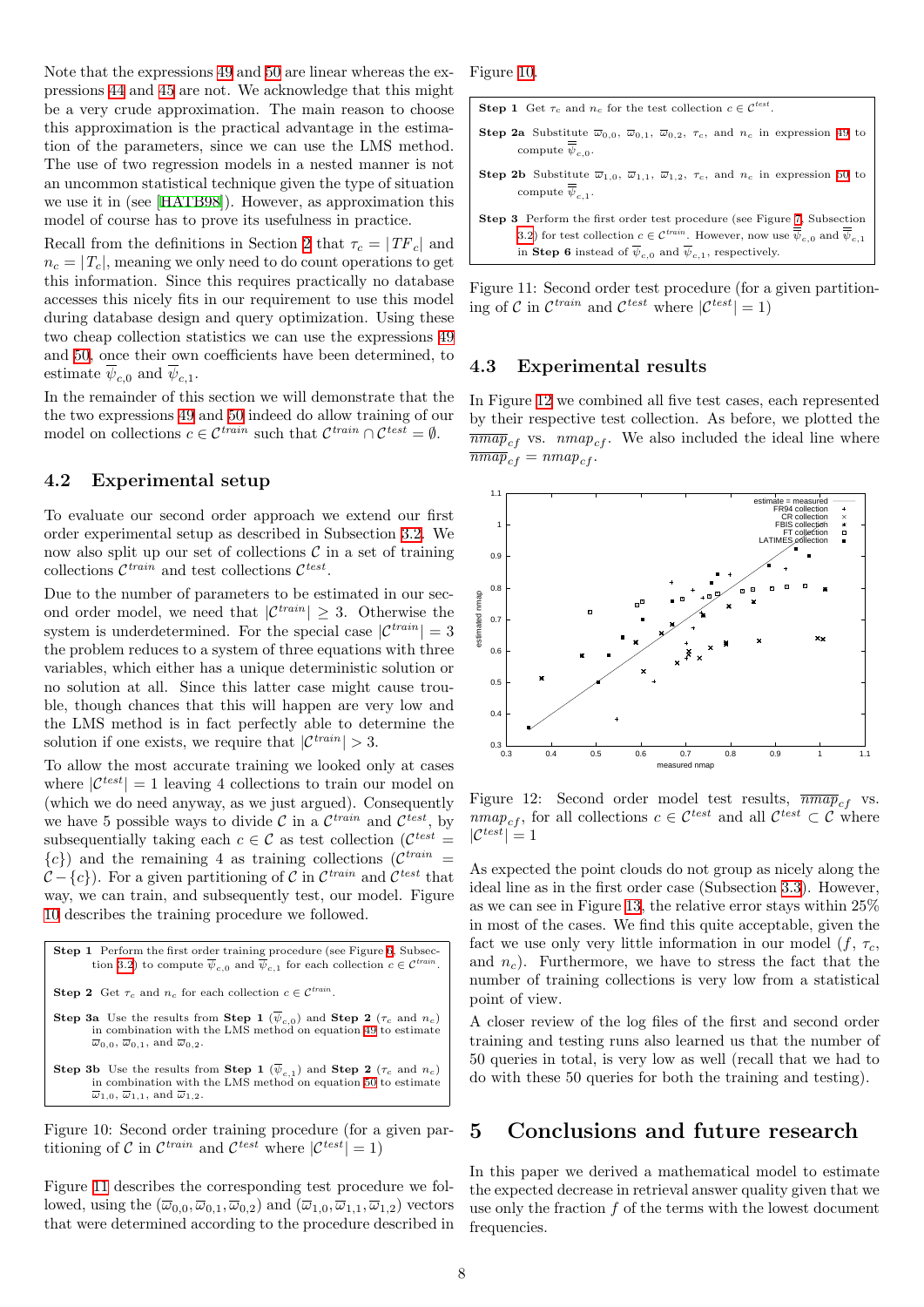Note that the expressions [49](#page-6-4) and [50](#page-6-4) are linear whereas the expressions [44](#page-5-5) and [45](#page-5-5) are not. We acknowledge that this might be a very crude approximation. The main reason to choose this approximation is the practical advantage in the estimation of the parameters, since we can use the LMS method. The use of two regression models in a nested manner is not an uncommon statistical technique given the type of situation we use it in (see [\[HATB98\]](#page-9-14)). However, as approximation this model of course has to prove its usefulness in practice.

Recall from the definitions in Section [2](#page-1-2) that  $\tau_c = |TF_c|$  and  $n_c = |T_c|$ , meaning we only need to do count operations to get this information. Since this requires practically no database accesses this nicely fits in our requirement to use this model during database design and query optimization. Using these two cheap collection statistics we can use the expressions [49](#page-6-4) and [50,](#page-6-4) once their own coefficients have been determined, to estimate  $\psi_{c,0}$  and  $\psi_{c,1}$ .

In the remainder of this section we will demonstrate that the the two expressions [49](#page-6-4) and [50](#page-6-4) indeed do allow training of our model on collections  $c \in \mathcal{C}^{train}$  such that  $\mathcal{C}^{train} \cap \mathcal{C}^{test} = \emptyset$ .

#### 4.2 Experimental setup

To evaluate our second order approach we extend our first order experimental setup as described in Subsection [3.2](#page-5-6). We now also split up our set of collections  $\mathcal C$  in a set of training collections  $\mathcal{C}^{train}$  and test collections  $\mathcal{C}^{test}$ .

Due to the number of parameters to be estimated in our second order model, we need that  $|\mathcal{C}^{train}| \geq 3$ . Otherwise the system is underdetermined. For the special case  $|\mathcal{C}^{train}| = 3$ the problem reduces to a system of three equations with three variables, which either has a unique deterministic solution or no solution at all. Since this latter case might cause trouble, though chances that this will happen are very low and the LMS method is in fact perfectly able to determine the solution if one exists, we require that  $|\mathcal{C}^{train}| > 3$ .

To allow the most accurate training we looked only at cases where  $|\mathcal{C}^{test}| = 1$  leaving 4 collections to train our model on (which we do need anyway, as we just argued). Consequently we have 5 possible ways to divide  $\mathcal C$  in a  $\mathcal C^{train}$  and  $\mathcal C^{test}$ , by subsequentially taking each  $c \in \mathcal{C}$  as test collection  $(\mathcal{C}^{test} =$  $\{c\}$ ) and the remaining 4 as training collections ( $\mathcal{C}^{train}$ )  $\mathcal{C} - \{c\}$ ). For a given partitioning of C in  $\mathcal{C}^{train}$  and  $\mathcal{C}^{test}$  that way, we can train, and subsequently test, our model. Figure [10](#page-7-1) describes the training procedure we followed.

Step 1 Perform the first order training procedure (see Figure [6](#page-5-3), Subsec-tion [3.2\)](#page-5-6) to compute  $\overline{\psi}_{c,0}$  and  $\overline{\psi}_{c,1}$  for each collection  $c \in \mathcal{C}^{train}$ . **Step 2** Get  $\tau_c$  and  $n_c$  for each collection  $c \in \mathcal{C}^{train}$ . **Step 3a** Use the results from **Step 1** ( $\psi_{c,0}$ ) and **Step 2** ( $\tau_c$  and  $n_c$ ) in combination with the LMS method on equation [49](#page-6-4) to estimate  $\overline{\omega}_{0,0}, \overline{\omega}_{0,1}, \text{ and } \overline{\omega}_{0,2}.$ **Step 3b** Use the results from **Step 1** ( $\psi_{c,1}$ ) and **Step 2** ( $\tau_c$  and  $n_c$ ) in combination with the LMS method on equation [50](#page-6-4) to estimate  $\overline{\omega}_{1,0}, \overline{\omega}_{1,1}$ , and  $\overline{\omega}_{1,2}$ .

<span id="page-7-1"></span>Figure 10: Second order training procedure (for a given partitioning of C in  $\mathcal{C}^{train}$  and  $\mathcal{C}^{test}$  where  $|\mathcal{C}^{test}| = 1$ )

Figure [11](#page-7-2) describes the corresponding test procedure we followed, using the  $(\overline{\omega}_{0,0}, \overline{\omega}_{0,1}, \overline{\omega}_{0,2})$  and  $(\overline{\omega}_{1,0}, \overline{\omega}_{1,1}, \overline{\omega}_{1,2})$  vectors that were determined according to the procedure described in Figure [10](#page-7-1).



<span id="page-7-2"></span>Figure 11: Second order test procedure (for a given partitioning of C in  $\mathcal{C}^{train}$  and  $\mathcal{C}^{test}$  where  $|\mathcal{C}^{test}| = 1$ 

### 4.3 Experimental results

In Figure [12](#page-7-3) we combined all five test cases, each represented by their respective test collection. As before, we plotted the  $\overline{mmap}_{cf}$  vs.  $nmap_{cf}$ . We also included the ideal line where  $\overline{mmap}_{cf} = nmap_{cf}$ .



<span id="page-7-3"></span>Figure 12: Second order model test results,  $\overline{nmap}_{cf}$  vs.  $nmap_{cf}$ , for all collections  $c \in \mathcal{C}^{test}$  and all  $\mathcal{C}^{test} \subset \mathcal{C}$  where  $|C^{test}|=1$ 

As expected the point clouds do not group as nicely along the ideal line as in the first order case (Subsection [3.3](#page-5-7)). However, as we can see in Figure [13](#page-8-12), the relative error stays within 25% in most of the cases. We find this quite acceptable, given the fact we use only very little information in our model  $(f, \tau_c)$ , and  $n_c$ ). Furthermore, we have to stress the fact that the number of training collections is very low from a statistical point of view.

A closer review of the log files of the first and second order training and testing runs also learned us that the number of 50 queries in total, is very low as well (recall that we had to do with these 50 queries for both the training and testing).

## <span id="page-7-0"></span>5 Conclusions and future research

In this paper we derived a mathematical model to estimate the expected decrease in retrieval answer quality given that we use only the fraction  $f$  of the terms with the lowest document frequencies.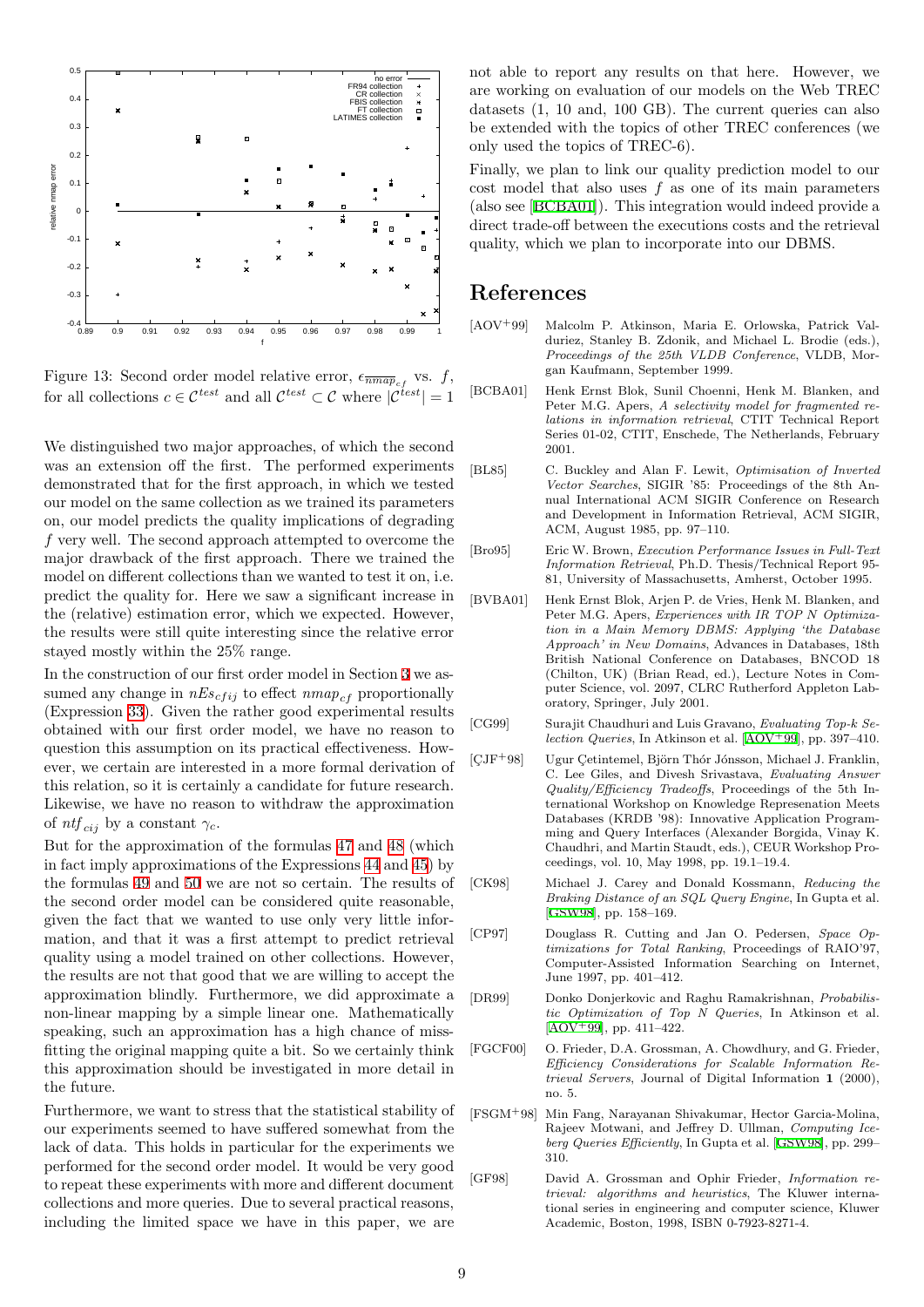

<span id="page-8-12"></span>Figure 13: Second order model relative error,  $\epsilon_{\overline{nmap}_{cf}}$  vs. f, for all collections  $c \in \mathcal{C}^{test}$  and all  $\mathcal{C}^{test} \subset \mathcal{C}$  where  $|\mathcal{C}^{test}| = 1$ 

We distinguished two major approaches, of which the second was an extension off the first. The performed experiments demonstrated that for the first approach, in which we tested our model on the same collection as we trained its parameters on, our model predicts the quality implications of degrading f very well. The second approach attempted to overcome the major drawback of the first approach. There we trained the model on different collections than we wanted to test it on, i.e. predict the quality for. Here we saw a significant increase in the (relative) estimation error, which we expected. However, the results were still quite interesting since the relative error stayed mostly within the 25% range.

In the construction of our first order model in Section [3](#page-3-4) we assumed any change in  $nEs_{cfij}$  to effect  $nmap_{cf}$  proportionally (Expression [33\)](#page-4-6). Given the rather good experimental results obtained with our first order model, we have no reason to question this assumption on its practical effectiveness. However, we certain are interested in a more formal derivation of this relation, so it is certainly a candidate for future research. Likewise, we have no reason to withdraw the approximation of  $ntf_{cij}$  by a constant  $\gamma_c$ .

But for the approximation of the formulas [47](#page-5-4) and [48](#page-5-4) (which in fact imply approximations of the Expressions [44](#page-5-5) and [45\)](#page-5-5) by the formulas [49](#page-6-4) and [50](#page-6-4) we are not so certain. The results of the second order model can be considered quite reasonable, given the fact that we wanted to use only very little information, and that it was a first attempt to predict retrieval quality using a model trained on other collections. However, the results are not that good that we are willing to accept the approximation blindly. Furthermore, we did approximate a non-linear mapping by a simple linear one. Mathematically speaking, such an approximation has a high chance of missfitting the original mapping quite a bit. So we certainly think this approximation should be investigated in more detail in the future.

Furthermore, we want to stress that the statistical stability of our experiments seemed to have suffered somewhat from the lack of data. This holds in particular for the experiments we performed for the second order model. It would be very good to repeat these experiments with more and different document collections and more queries. Due to several practical reasons, including the limited space we have in this paper, we are not able to report any results on that here. However, we are working on evaluation of our models on the Web TREC datasets (1, 10 and, 100 GB). The current queries can also be extended with the topics of other TREC conferences (we only used the topics of TREC-6).

Finally, we plan to link our quality prediction model to our cost model that also uses  $f$  as one of its main parameters (also see[[BCBA01\]](#page-8-3)). This integration would indeed provide a direct trade-off between the executions costs and the retrieval quality, which we plan to incorporate into our DBMS.

## References

- <span id="page-8-13"></span>[AOV+99] Malcolm P. Atkinson, Maria E. Orlowska, Patrick Valduriez, Stanley B. Zdonik, and Michael L. Brodie (eds.), Proceedings of the 25th VLDB Conference, VLDB, Morgan Kaufmann, September 1999.
- <span id="page-8-3"></span>[BCBA01] Henk Ernst Blok, Sunil Choenni, Henk M. Blanken, and Peter M.G. Apers, A selectivity model for fragmented relations in information retrieval, CTIT Technical Report Series 01-02, CTIT, Enschede, The Netherlands, February 2001.
- <span id="page-8-4"></span>[BL85] C. Buckley and Alan F. Lewit, Optimisation of Inverted Vector Searches, SIGIR '85: Proceedings of the 8th Annual International ACM SIGIR Conference on Research and Development in Information Retrieval, ACM SIGIR, ACM, August 1985, pp. 97–110.
- <span id="page-8-5"></span>[Bro95] Eric W. Brown, Execution Performance Issues in Full-Text Information Retrieval, Ph.D. Thesis/Technical Report 95- 81, University of Massachusetts, Amherst, October 1995.
- <span id="page-8-2"></span>[BVBA01] Henk Ernst Blok, Arjen P. de Vries, Henk M. Blanken, and Peter M.G. Apers, Experiences with IR TOP N Optimization in a Main Memory DBMS: Applying 'the Database Approach' in New Domains, Advances in Databases, 18th British National Conference on Databases, BNCOD 18 (Chilton, UK) (Brian Read, ed.), Lecture Notes in Computer Science, vol. 2097, CLRC Rutherford Appleton Laboratory, Springer, July 2001.
- <span id="page-8-11"></span>[CG99] Surajit Chaudhuri and Luis Gravano, Evaluating Top-k Selection Queries, In Atkinson et al.  $[AOV + 99]$ , pp. 397-410.
- <span id="page-8-7"></span>[CJF<sup>+</sup>98] Ugur Cetintemel, Björn Thór Jónsson, Michael J. Franklin, C. Lee Giles, and Divesh Srivastava, Evaluating Answer Quality/Efficiency Tradeoffs, Proceedings of the 5th International Workshop on Knowledge Represenation Meets Databases (KRDB '98): Innovative Application Programming and Query Interfaces (Alexander Borgida, Vinay K. Chaudhri, and Martin Staudt, eds.), CEUR Workshop Proceedings, vol. 10, May 1998, pp. 19.1–19.4.
- <span id="page-8-9"></span>[CK98] Michael J. Carey and Donald Kossmann, Reducing the Braking Distance of an SQL Query Engine, In Gupta et al. [[GSW98](#page-9-15)], pp. 158–169.
- <span id="page-8-6"></span>[CP97] Douglass R. Cutting and Jan O. Pedersen, Space Optimizations for Total Ranking, Proceedings of RAIO'97, Computer-Assisted Information Searching on Internet, June 1997, pp. 401–412.
- <span id="page-8-8"></span>[DR99] Donko Donjerkovic and Raghu Ramakrishnan, *Probabilis*tic Optimization of Top N Queries, In Atkinson et al.  $[AOV + 99]$  $[AOV + 99]$  $[AOV + 99]$ , pp. 411–422.
- <span id="page-8-1"></span>[FGCF00] O. Frieder, D.A. Grossman, A. Chowdhury, and G. Frieder, Efficiency Considerations for Scalable Information Retrieval Servers, Journal of Digital Information 1 (2000), no. 5.
- <span id="page-8-10"></span>[FSGM+98] Min Fang, Narayanan Shivakumar, Hector Garcia-Molina, Rajeev Motwani, and Jeffrey D. Ullman, Computing Iceberg Queries Efficiently, In Gupta et al.[[GSW98](#page-9-15)], pp. 299– 310.
- <span id="page-8-0"></span>[GF98] David A. Grossman and Ophir Frieder, Information retrieval: algorithms and heuristics, The Kluwer international series in engineering and computer science, Kluwer Academic, Boston, 1998, ISBN 0-7923-8271-4.